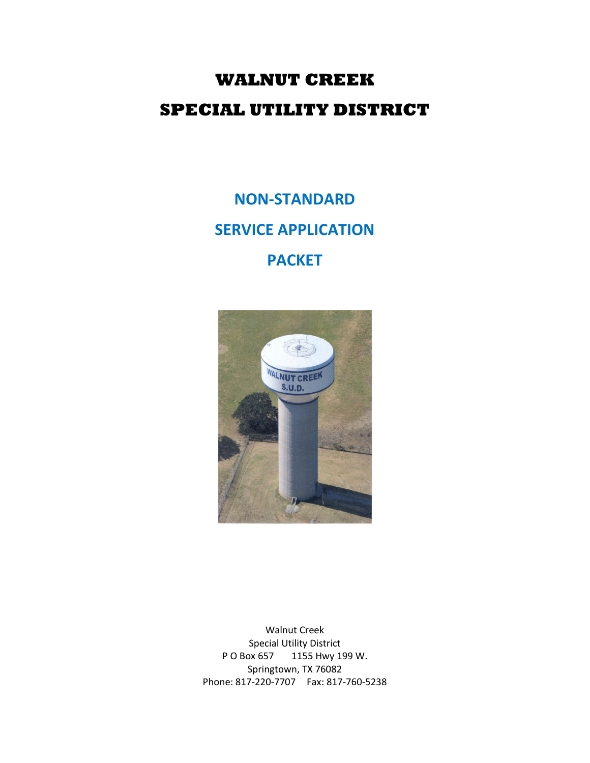# **WALNUT CREEK SPECIAL UTILITY DISTRICT**

# **NON-STANDARD SERVICE APPLICATION PACKET**



Walnut Creek Special Utility District P O Box 657 1155 Hwy 199 W. Springtown, TX 76082 Phone: 817-220-7707 Fax: 817-760-5238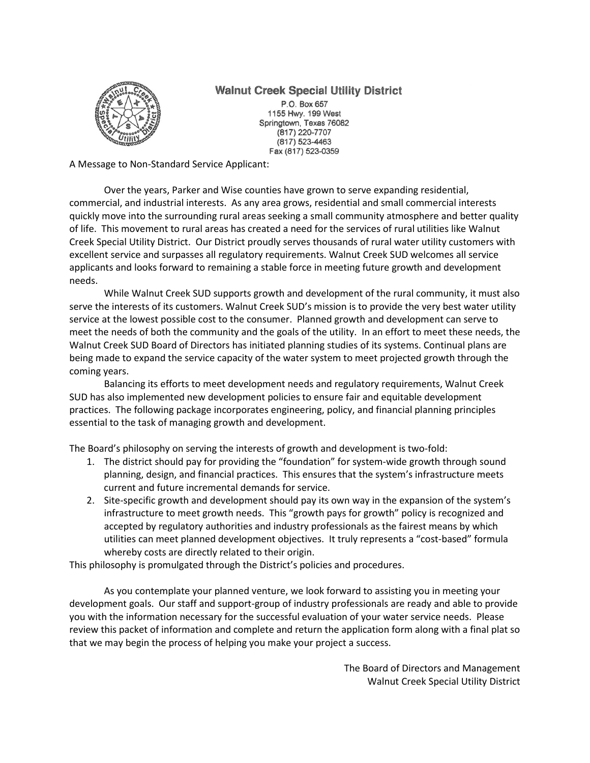### **Walnut Creek Special Utility District**



P.O. Box 657 1155 Hwy. 199 West Springtown, Texas 76082 (817) 220-7707 (817) 523-4463 Fax (817) 523-0359

A Message to Non-Standard Service Applicant:

Over the years, Parker and Wise counties have grown to serve expanding residential, commercial, and industrial interests. As any area grows, residential and small commercial interests quickly move into the surrounding rural areas seeking a small community atmosphere and better quality of life. This movement to rural areas has created a need for the services of rural utilities like Walnut Creek Special Utility District. Our District proudly serves thousands of rural water utility customers with excellent service and surpasses all regulatory requirements. Walnut Creek SUD welcomes all service applicants and looks forward to remaining a stable force in meeting future growth and development needs.

While Walnut Creek SUD supports growth and development of the rural community, it must also serve the interests of its customers. Walnut Creek SUD's mission is to provide the very best water utility service at the lowest possible cost to the consumer. Planned growth and development can serve to meet the needs of both the community and the goals of the utility. In an effort to meet these needs, the Walnut Creek SUD Board of Directors has initiated planning studies of its systems. Continual plans are being made to expand the service capacity of the water system to meet projected growth through the coming years.

Balancing its efforts to meet development needs and regulatory requirements, Walnut Creek SUD has also implemented new development policies to ensure fair and equitable development practices. The following package incorporates engineering, policy, and financial planning principles essential to the task of managing growth and development.

The Board's philosophy on serving the interests of growth and development is two-fold:

- 1. The district should pay for providing the "foundation" for system-wide growth through sound planning, design, and financial practices. This ensures that the system's infrastructure meets current and future incremental demands for service.
- 2. Site-specific growth and development should pay its own way in the expansion of the system's infrastructure to meet growth needs. This "growth pays for growth" policy is recognized and accepted by regulatory authorities and industry professionals as the fairest means by which utilities can meet planned development objectives. It truly represents a "cost-based" formula whereby costs are directly related to their origin.

This philosophy is promulgated through the District's policies and procedures.

As you contemplate your planned venture, we look forward to assisting you in meeting your development goals. Our staff and support-group of industry professionals are ready and able to provide you with the information necessary for the successful evaluation of your water service needs. Please review this packet of information and complete and return the application form along with a final plat so that we may begin the process of helping you make your project a success.

> The Board of Directors and Management Walnut Creek Special Utility District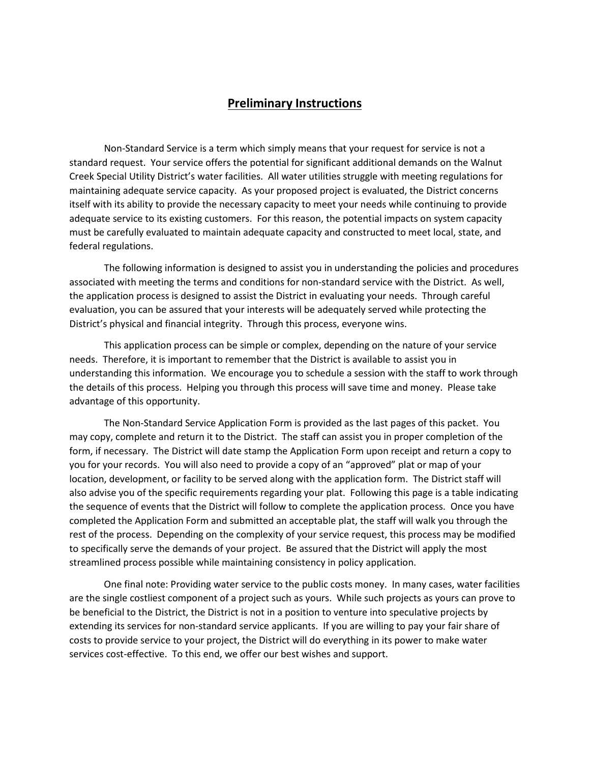#### **Preliminary Instructions**

Non-Standard Service is a term which simply means that your request for service is not a standard request. Your service offers the potential for significant additional demands on the Walnut Creek Special Utility District's water facilities. All water utilities struggle with meeting regulations for maintaining adequate service capacity. As your proposed project is evaluated, the District concerns itself with its ability to provide the necessary capacity to meet your needs while continuing to provide adequate service to its existing customers. For this reason, the potential impacts on system capacity must be carefully evaluated to maintain adequate capacity and constructed to meet local, state, and federal regulations.

The following information is designed to assist you in understanding the policies and procedures associated with meeting the terms and conditions for non-standard service with the District. As well, the application process is designed to assist the District in evaluating your needs. Through careful evaluation, you can be assured that your interests will be adequately served while protecting the District's physical and financial integrity. Through this process, everyone wins.

This application process can be simple or complex, depending on the nature of your service needs. Therefore, it is important to remember that the District is available to assist you in understanding this information. We encourage you to schedule a session with the staff to work through the details of this process. Helping you through this process will save time and money. Please take advantage of this opportunity.

The Non-Standard Service Application Form is provided as the last pages of this packet. You may copy, complete and return it to the District. The staff can assist you in proper completion of the form, if necessary. The District will date stamp the Application Form upon receipt and return a copy to you for your records. You will also need to provide a copy of an "approved" plat or map of your location, development, or facility to be served along with the application form. The District staff will also advise you of the specific requirements regarding your plat. Following this page is a table indicating the sequence of events that the District will follow to complete the application process. Once you have completed the Application Form and submitted an acceptable plat, the staff will walk you through the rest of the process. Depending on the complexity of your service request, this process may be modified to specifically serve the demands of your project. Be assured that the District will apply the most streamlined process possible while maintaining consistency in policy application.

One final note: Providing water service to the public costs money. In many cases, water facilities are the single costliest component of a project such as yours. While such projects as yours can prove to be beneficial to the District, the District is not in a position to venture into speculative projects by extending its services for non-standard service applicants. If you are willing to pay your fair share of costs to provide service to your project, the District will do everything in its power to make water services cost-effective. To this end, we offer our best wishes and support.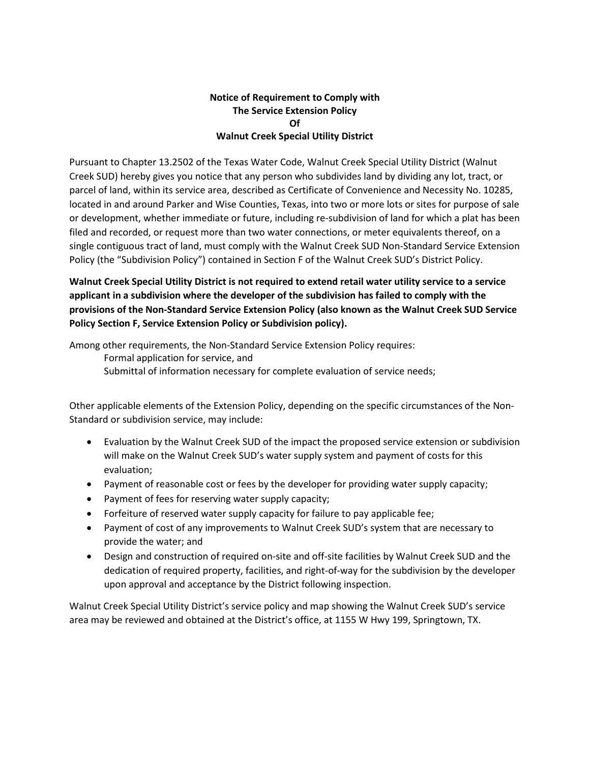#### **Notice of Requirement to Comply with The Service Extension Policy Of Walnut Creek Special Utility District**

Pursuant to Chapter 13.2502 of the Texas Water Code, Walnut Creek Special Utility District (Walnut Creek SUD) hereby gives you notice that any person who subdivides land by dividing any lot, tract, or parcel of land, within its service area, described as Certificate of Convenience and Necessity No. 10285, located in and around Parker and Wise Counties, Texas, into two or more lots or sites for purpose of sale or development, whether immediate or future, including re-subdivision of land for which a plat has been filed and recorded, or request more than two water connections, or meter equivalents thereof, on a single contiguous tract of land, must comply with the Walnut Creek SUD Non-Standard Service Extension Policy (the "Subdivision Policy") contained in Section F of the Walnut Creek SUD's District Policy.

**Walnut Creek Special Utility District is not required to extend retail water utility service to a service applicant in a subdivision where the developer of the subdivision has failed to comply with the provisions of the Non-Standard Service Extension Policy (also known as the Walnut Creek SUD Service Policy Section F, Service Extension Policy or Subdivision policy).**

Among other requirements, the Non-Standard Service Extension Policy requires: Formal application for service, and Submittal of information necessary for complete evaluation of service needs;

Other applicable elements of the Extension Policy, depending on the specific circumstances of the Non-Standard or subdivision service, may include:

- Evaluation by the Walnut Creek SUD of the impact the proposed service extension or subdivision will make on the Walnut Creek SUD's water supply system and payment of costs for this evaluation;
- Payment of reasonable cost or fees by the developer for providing water supply capacity;
- Payment of fees for reserving water supply capacity;
- Forfeiture of reserved water supply capacity for failure to pay applicable fee;
- Payment of cost of any improvements to Walnut Creek SUD's system that are necessary to provide the water; and
- Design and construction of required on-site and off-site facilities by Walnut Creek SUD and the dedication of required property, facilities, and right-of-way for the subdivision by the developer upon approval and acceptance by the District following inspection.

Walnut Creek Special Utility District's service policy and map showing the Walnut Creek SUD's service area may be reviewed and obtained at the District's office, at 1155 W Hwy 199, Springtown, TX.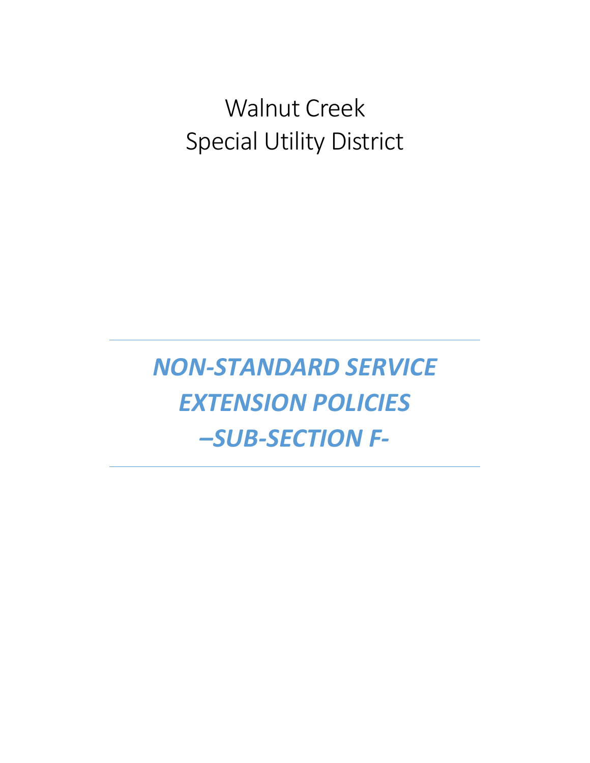# Walnut Creek Special Utility District

*NON-STANDARD SERVICE EXTENSION POLICIES –SUB-SECTION F-*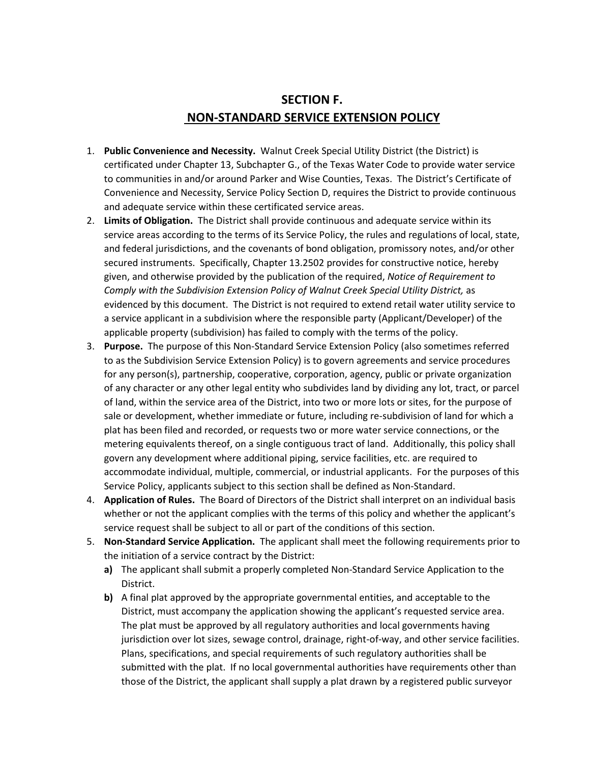## **SECTION F. NON-STANDARD SERVICE EXTENSION POLICY**

- 1. **Public Convenience and Necessity.** Walnut Creek Special Utility District (the District) is certificated under Chapter 13, Subchapter G., of the Texas Water Code to provide water service to communities in and/or around Parker and Wise Counties, Texas. The District's Certificate of Convenience and Necessity, Service Policy Section D, requires the District to provide continuous and adequate service within these certificated service areas.
- 2. **Limits of Obligation.** The District shall provide continuous and adequate service within its service areas according to the terms of its Service Policy, the rules and regulations of local, state, and federal jurisdictions, and the covenants of bond obligation, promissory notes, and/or other secured instruments. Specifically, Chapter 13.2502 provides for constructive notice, hereby given, and otherwise provided by the publication of the required, *Notice of Requirement to Comply with the Subdivision Extension Policy of Walnut Creek Special Utility District,* as evidenced by this document. The District is not required to extend retail water utility service to a service applicant in a subdivision where the responsible party (Applicant/Developer) of the applicable property (subdivision) has failed to comply with the terms of the policy.
- 3. **Purpose.** The purpose of this Non-Standard Service Extension Policy (also sometimes referred to as the Subdivision Service Extension Policy) is to govern agreements and service procedures for any person(s), partnership, cooperative, corporation, agency, public or private organization of any character or any other legal entity who subdivides land by dividing any lot, tract, or parcel of land, within the service area of the District, into two or more lots or sites, for the purpose of sale or development, whether immediate or future, including re-subdivision of land for which a plat has been filed and recorded, or requests two or more water service connections, or the metering equivalents thereof, on a single contiguous tract of land. Additionally, this policy shall govern any development where additional piping, service facilities, etc. are required to accommodate individual, multiple, commercial, or industrial applicants. For the purposes of this Service Policy, applicants subject to this section shall be defined as Non-Standard.
- 4. **Application of Rules.** The Board of Directors of the District shall interpret on an individual basis whether or not the applicant complies with the terms of this policy and whether the applicant's service request shall be subject to all or part of the conditions of this section.
- 5. **Non-Standard Service Application.** The applicant shall meet the following requirements prior to the initiation of a service contract by the District:
	- **a)** The applicant shall submit a properly completed Non-Standard Service Application to the District.
	- **b)** A final plat approved by the appropriate governmental entities, and acceptable to the District, must accompany the application showing the applicant's requested service area. The plat must be approved by all regulatory authorities and local governments having jurisdiction over lot sizes, sewage control, drainage, right-of-way, and other service facilities. Plans, specifications, and special requirements of such regulatory authorities shall be submitted with the plat. If no local governmental authorities have requirements other than those of the District, the applicant shall supply a plat drawn by a registered public surveyor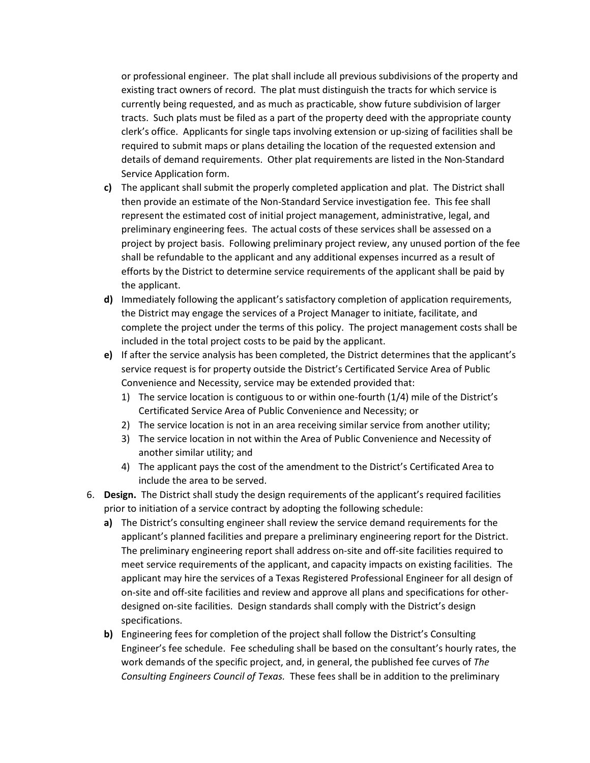or professional engineer. The plat shall include all previous subdivisions of the property and existing tract owners of record. The plat must distinguish the tracts for which service is currently being requested, and as much as practicable, show future subdivision of larger tracts. Such plats must be filed as a part of the property deed with the appropriate county clerk's office. Applicants for single taps involving extension or up-sizing of facilities shall be required to submit maps or plans detailing the location of the requested extension and details of demand requirements. Other plat requirements are listed in the Non-Standard Service Application form.

- **c)** The applicant shall submit the properly completed application and plat. The District shall then provide an estimate of the Non-Standard Service investigation fee. This fee shall represent the estimated cost of initial project management, administrative, legal, and preliminary engineering fees. The actual costs of these services shall be assessed on a project by project basis. Following preliminary project review, any unused portion of the fee shall be refundable to the applicant and any additional expenses incurred as a result of efforts by the District to determine service requirements of the applicant shall be paid by the applicant.
- **d)** Immediately following the applicant's satisfactory completion of application requirements, the District may engage the services of a Project Manager to initiate, facilitate, and complete the project under the terms of this policy. The project management costs shall be included in the total project costs to be paid by the applicant.
- **e)** If after the service analysis has been completed, the District determines that the applicant's service request is for property outside the District's Certificated Service Area of Public Convenience and Necessity, service may be extended provided that:
	- 1) The service location is contiguous to or within one-fourth (1/4) mile of the District's Certificated Service Area of Public Convenience and Necessity; or
	- 2) The service location is not in an area receiving similar service from another utility;
	- 3) The service location in not within the Area of Public Convenience and Necessity of another similar utility; and
	- 4) The applicant pays the cost of the amendment to the District's Certificated Area to include the area to be served.
- 6. **Design.** The District shall study the design requirements of the applicant's required facilities prior to initiation of a service contract by adopting the following schedule:
	- **a)** The District's consulting engineer shall review the service demand requirements for the applicant's planned facilities and prepare a preliminary engineering report for the District. The preliminary engineering report shall address on-site and off-site facilities required to meet service requirements of the applicant, and capacity impacts on existing facilities. The applicant may hire the services of a Texas Registered Professional Engineer for all design of on-site and off-site facilities and review and approve all plans and specifications for otherdesigned on-site facilities. Design standards shall comply with the District's design specifications.
	- **b)** Engineering fees for completion of the project shall follow the District's Consulting Engineer's fee schedule. Fee scheduling shall be based on the consultant's hourly rates, the work demands of the specific project, and, in general, the published fee curves of *The Consulting Engineers Council of Texas.* These fees shall be in addition to the preliminary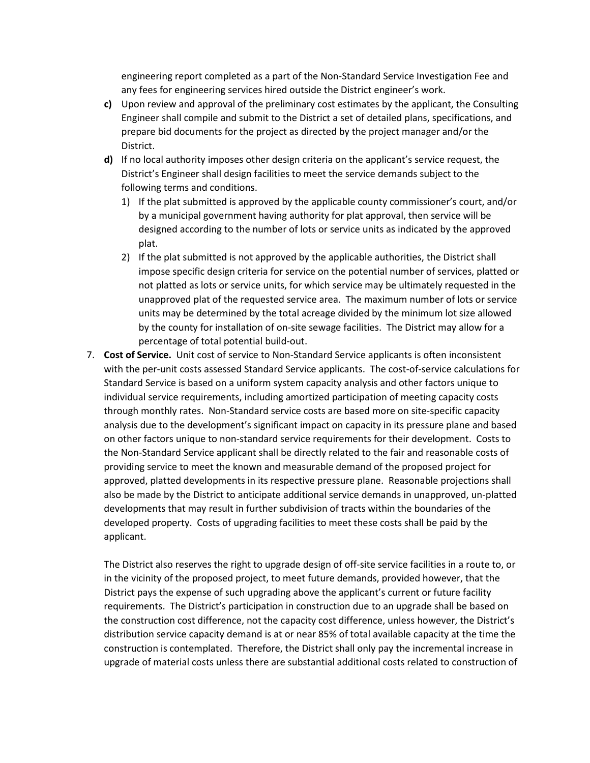engineering report completed as a part of the Non-Standard Service Investigation Fee and any fees for engineering services hired outside the District engineer's work.

- **c)** Upon review and approval of the preliminary cost estimates by the applicant, the Consulting Engineer shall compile and submit to the District a set of detailed plans, specifications, and prepare bid documents for the project as directed by the project manager and/or the District.
- **d)** If no local authority imposes other design criteria on the applicant's service request, the District's Engineer shall design facilities to meet the service demands subject to the following terms and conditions.
	- 1) If the plat submitted is approved by the applicable county commissioner's court, and/or by a municipal government having authority for plat approval, then service will be designed according to the number of lots or service units as indicated by the approved plat.
	- 2) If the plat submitted is not approved by the applicable authorities, the District shall impose specific design criteria for service on the potential number of services, platted or not platted as lots or service units, for which service may be ultimately requested in the unapproved plat of the requested service area. The maximum number of lots or service units may be determined by the total acreage divided by the minimum lot size allowed by the county for installation of on-site sewage facilities. The District may allow for a percentage of total potential build-out.
- 7. **Cost of Service.** Unit cost of service to Non-Standard Service applicants is often inconsistent with the per-unit costs assessed Standard Service applicants. The cost-of-service calculations for Standard Service is based on a uniform system capacity analysis and other factors unique to individual service requirements, including amortized participation of meeting capacity costs through monthly rates. Non-Standard service costs are based more on site-specific capacity analysis due to the development's significant impact on capacity in its pressure plane and based on other factors unique to non-standard service requirements for their development. Costs to the Non-Standard Service applicant shall be directly related to the fair and reasonable costs of providing service to meet the known and measurable demand of the proposed project for approved, platted developments in its respective pressure plane. Reasonable projections shall also be made by the District to anticipate additional service demands in unapproved, un-platted developments that may result in further subdivision of tracts within the boundaries of the developed property. Costs of upgrading facilities to meet these costs shall be paid by the applicant.

The District also reserves the right to upgrade design of off-site service facilities in a route to, or in the vicinity of the proposed project, to meet future demands, provided however, that the District pays the expense of such upgrading above the applicant's current or future facility requirements. The District's participation in construction due to an upgrade shall be based on the construction cost difference, not the capacity cost difference, unless however, the District's distribution service capacity demand is at or near 85% of total available capacity at the time the construction is contemplated. Therefore, the District shall only pay the incremental increase in upgrade of material costs unless there are substantial additional costs related to construction of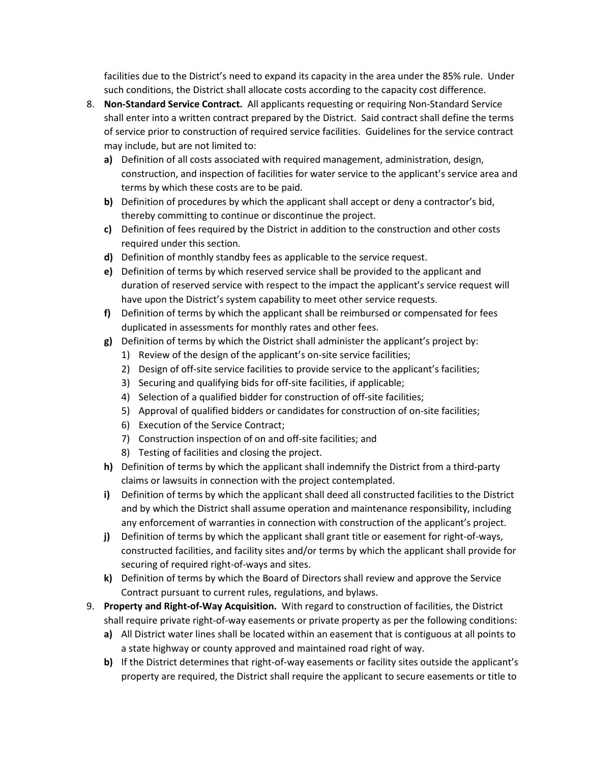facilities due to the District's need to expand its capacity in the area under the 85% rule. Under such conditions, the District shall allocate costs according to the capacity cost difference.

- 8. **Non-Standard Service Contract.** All applicants requesting or requiring Non-Standard Service shall enter into a written contract prepared by the District. Said contract shall define the terms of service prior to construction of required service facilities. Guidelines for the service contract may include, but are not limited to:
	- **a)** Definition of all costs associated with required management, administration, design, construction, and inspection of facilities for water service to the applicant's service area and terms by which these costs are to be paid.
	- **b)** Definition of procedures by which the applicant shall accept or deny a contractor's bid, thereby committing to continue or discontinue the project.
	- **c)** Definition of fees required by the District in addition to the construction and other costs required under this section.
	- **d)** Definition of monthly standby fees as applicable to the service request.
	- **e)** Definition of terms by which reserved service shall be provided to the applicant and duration of reserved service with respect to the impact the applicant's service request will have upon the District's system capability to meet other service requests.
	- **f)** Definition of terms by which the applicant shall be reimbursed or compensated for fees duplicated in assessments for monthly rates and other fees.
	- **g)** Definition of terms by which the District shall administer the applicant's project by:
		- 1) Review of the design of the applicant's on-site service facilities;
		- 2) Design of off-site service facilities to provide service to the applicant's facilities;
		- 3) Securing and qualifying bids for off-site facilities, if applicable;
		- 4) Selection of a qualified bidder for construction of off-site facilities;
		- 5) Approval of qualified bidders or candidates for construction of on-site facilities;
		- 6) Execution of the Service Contract;
		- 7) Construction inspection of on and off-site facilities; and
		- 8) Testing of facilities and closing the project.
	- **h)** Definition of terms by which the applicant shall indemnify the District from a third-party claims or lawsuits in connection with the project contemplated.
	- **i)** Definition of terms by which the applicant shall deed all constructed facilities to the District and by which the District shall assume operation and maintenance responsibility, including any enforcement of warranties in connection with construction of the applicant's project.
	- **j)** Definition of terms by which the applicant shall grant title or easement for right-of-ways, constructed facilities, and facility sites and/or terms by which the applicant shall provide for securing of required right-of-ways and sites.
	- **k)** Definition of terms by which the Board of Directors shall review and approve the Service Contract pursuant to current rules, regulations, and bylaws.
- 9. **Property and Right-of-Way Acquisition.** With regard to construction of facilities, the District shall require private right-of-way easements or private property as per the following conditions:
	- **a)** All District water lines shall be located within an easement that is contiguous at all points to a state highway or county approved and maintained road right of way.
	- **b)** If the District determines that right-of-way easements or facility sites outside the applicant's property are required, the District shall require the applicant to secure easements or title to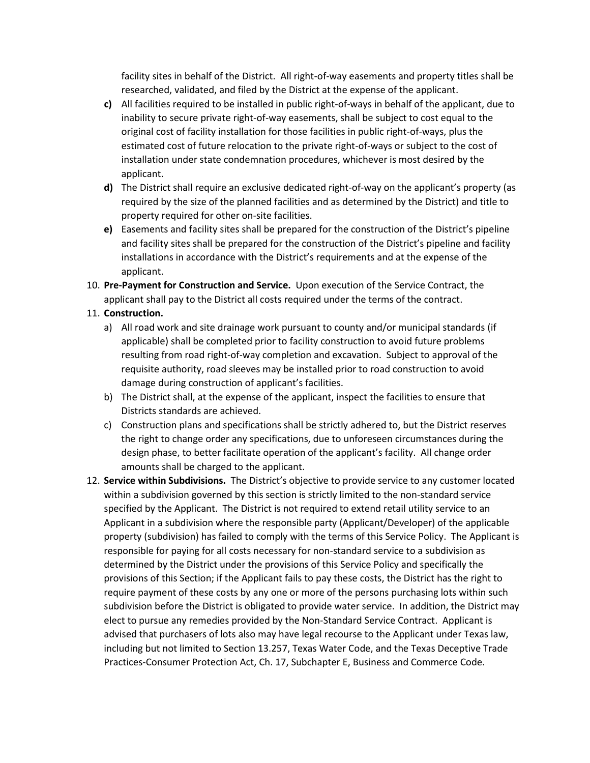facility sites in behalf of the District. All right-of-way easements and property titles shall be researched, validated, and filed by the District at the expense of the applicant.

- **c)** All facilities required to be installed in public right-of-ways in behalf of the applicant, due to inability to secure private right-of-way easements, shall be subject to cost equal to the original cost of facility installation for those facilities in public right-of-ways, plus the estimated cost of future relocation to the private right-of-ways or subject to the cost of installation under state condemnation procedures, whichever is most desired by the applicant.
- **d)** The District shall require an exclusive dedicated right-of-way on the applicant's property (as required by the size of the planned facilities and as determined by the District) and title to property required for other on-site facilities.
- **e)** Easements and facility sites shall be prepared for the construction of the District's pipeline and facility sites shall be prepared for the construction of the District's pipeline and facility installations in accordance with the District's requirements and at the expense of the applicant.
- 10. **Pre-Payment for Construction and Service.** Upon execution of the Service Contract, the applicant shall pay to the District all costs required under the terms of the contract.
- 11. **Construction.**
	- a) All road work and site drainage work pursuant to county and/or municipal standards (if applicable) shall be completed prior to facility construction to avoid future problems resulting from road right-of-way completion and excavation. Subject to approval of the requisite authority, road sleeves may be installed prior to road construction to avoid damage during construction of applicant's facilities.
	- b) The District shall, at the expense of the applicant, inspect the facilities to ensure that Districts standards are achieved.
	- c) Construction plans and specifications shall be strictly adhered to, but the District reserves the right to change order any specifications, due to unforeseen circumstances during the design phase, to better facilitate operation of the applicant's facility. All change order amounts shall be charged to the applicant.
- 12. **Service within Subdivisions.** The District's objective to provide service to any customer located within a subdivision governed by this section is strictly limited to the non-standard service specified by the Applicant. The District is not required to extend retail utility service to an Applicant in a subdivision where the responsible party (Applicant/Developer) of the applicable property (subdivision) has failed to comply with the terms of this Service Policy. The Applicant is responsible for paying for all costs necessary for non-standard service to a subdivision as determined by the District under the provisions of this Service Policy and specifically the provisions of this Section; if the Applicant fails to pay these costs, the District has the right to require payment of these costs by any one or more of the persons purchasing lots within such subdivision before the District is obligated to provide water service. In addition, the District may elect to pursue any remedies provided by the Non-Standard Service Contract. Applicant is advised that purchasers of lots also may have legal recourse to the Applicant under Texas law, including but not limited to Section 13.257, Texas Water Code, and the Texas Deceptive Trade Practices-Consumer Protection Act, Ch. 17, Subchapter E, Business and Commerce Code.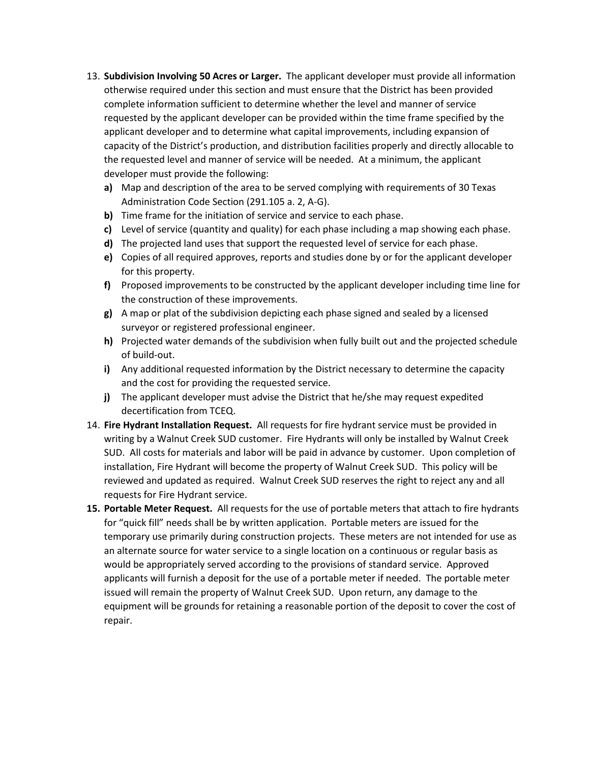- 13. **Subdivision Involving 50 Acres or Larger.** The applicant developer must provide all information otherwise required under this section and must ensure that the District has been provided complete information sufficient to determine whether the level and manner of service requested by the applicant developer can be provided within the time frame specified by the applicant developer and to determine what capital improvements, including expansion of capacity of the District's production, and distribution facilities properly and directly allocable to the requested level and manner of service will be needed. At a minimum, the applicant developer must provide the following:
	- **a)** Map and description of the area to be served complying with requirements of 30 Texas Administration Code Section (291.105 a. 2, A-G).
	- **b)** Time frame for the initiation of service and service to each phase.
	- **c)** Level of service (quantity and quality) for each phase including a map showing each phase.
	- **d)** The projected land uses that support the requested level of service for each phase.
	- **e)** Copies of all required approves, reports and studies done by or for the applicant developer for this property.
	- **f)** Proposed improvements to be constructed by the applicant developer including time line for the construction of these improvements.
	- **g)** A map or plat of the subdivision depicting each phase signed and sealed by a licensed surveyor or registered professional engineer.
	- **h)** Projected water demands of the subdivision when fully built out and the projected schedule of build-out.
	- **i)** Any additional requested information by the District necessary to determine the capacity and the cost for providing the requested service.
	- **j)** The applicant developer must advise the District that he/she may request expedited decertification from TCEQ.
- 14. **Fire Hydrant Installation Request.** All requests for fire hydrant service must be provided in writing by a Walnut Creek SUD customer. Fire Hydrants will only be installed by Walnut Creek SUD. All costs for materials and labor will be paid in advance by customer. Upon completion of installation, Fire Hydrant will become the property of Walnut Creek SUD. This policy will be reviewed and updated as required. Walnut Creek SUD reserves the right to reject any and all requests for Fire Hydrant service.
- **15. Portable Meter Request.** All requests for the use of portable meters that attach to fire hydrants for "quick fill" needs shall be by written application. Portable meters are issued for the temporary use primarily during construction projects. These meters are not intended for use as an alternate source for water service to a single location on a continuous or regular basis as would be appropriately served according to the provisions of standard service. Approved applicants will furnish a deposit for the use of a portable meter if needed. The portable meter issued will remain the property of Walnut Creek SUD. Upon return, any damage to the equipment will be grounds for retaining a reasonable portion of the deposit to cover the cost of repair.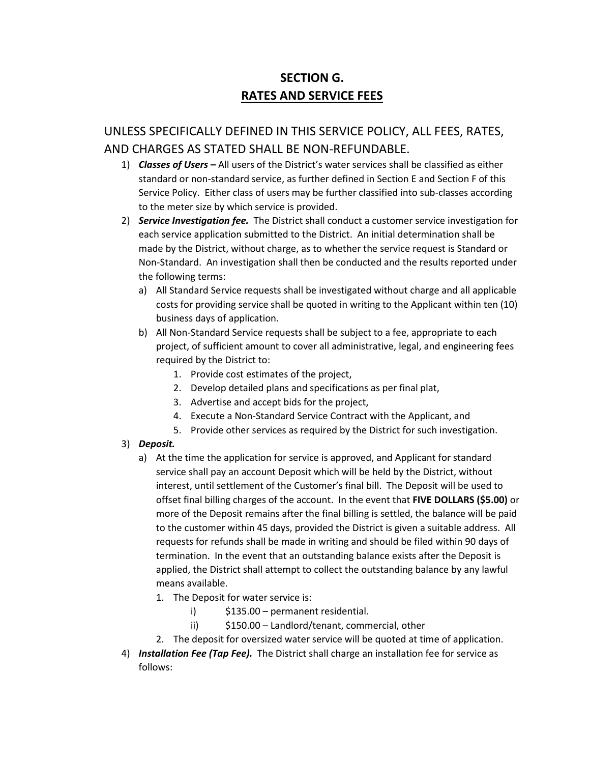# **SECTION G. RATES AND SERVICE FEES**

# UNLESS SPECIFICALLY DEFINED IN THIS SERVICE POLICY, ALL FEES, RATES, AND CHARGES AS STATED SHALL BE NON-REFUNDABLE.

- 1) *Classes of Users –* All users of the District's water services shall be classified as either standard or non-standard service, as further defined in Section E and Section F of this Service Policy. Either class of users may be further classified into sub-classes according to the meter size by which service is provided.
- 2) *Service Investigation fee.* The District shall conduct a customer service investigation for each service application submitted to the District. An initial determination shall be made by the District, without charge, as to whether the service request is Standard or Non-Standard. An investigation shall then be conducted and the results reported under the following terms:
	- a) All Standard Service requests shall be investigated without charge and all applicable costs for providing service shall be quoted in writing to the Applicant within ten (10) business days of application.
	- b) All Non-Standard Service requests shall be subject to a fee, appropriate to each project, of sufficient amount to cover all administrative, legal, and engineering fees required by the District to:
		- 1. Provide cost estimates of the project,
		- 2. Develop detailed plans and specifications as per final plat,
		- 3. Advertise and accept bids for the project,
		- 4. Execute a Non-Standard Service Contract with the Applicant, and
		- 5. Provide other services as required by the District for such investigation.
- 3) *Deposit.*
	- a) At the time the application for service is approved, and Applicant for standard service shall pay an account Deposit which will be held by the District, without interest, until settlement of the Customer's final bill. The Deposit will be used to offset final billing charges of the account. In the event that **FIVE DOLLARS (\$5.00)** or more of the Deposit remains after the final billing is settled, the balance will be paid to the customer within 45 days, provided the District is given a suitable address. All requests for refunds shall be made in writing and should be filed within 90 days of termination. In the event that an outstanding balance exists after the Deposit is applied, the District shall attempt to collect the outstanding balance by any lawful means available.
		- 1. The Deposit for water service is:
			- i) \$135.00 permanent residential.
			- ii) \$150.00 Landlord/tenant, commercial, other
		- 2. The deposit for oversized water service will be quoted at time of application.
- 4) *Installation Fee (Tap Fee).* The District shall charge an installation fee for service as follows: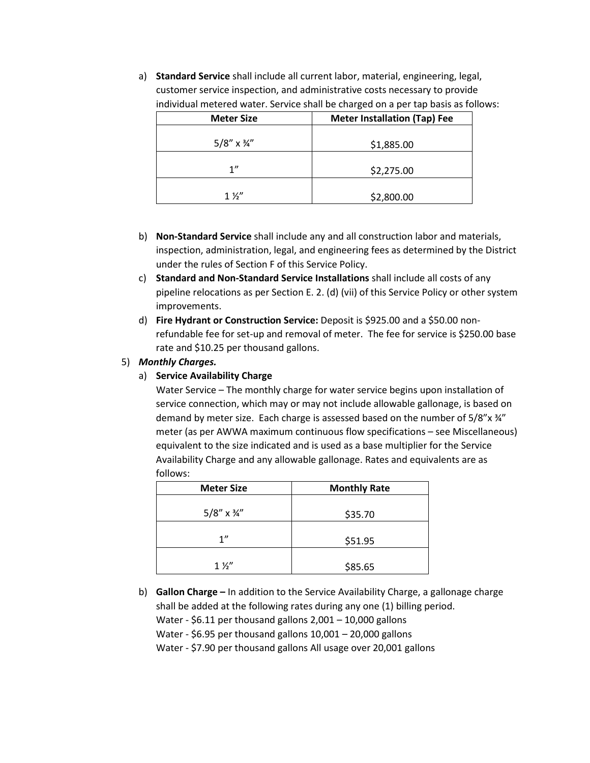a) **Standard Service** shall include all current labor, material, engineering, legal, customer service inspection, and administrative costs necessary to provide individual metered water. Service shall be charged on a per tap basis as follows:

| <b>Meter Size</b>         | <b>Meter Installation (Tap) Fee</b> |  |  |
|---------------------------|-------------------------------------|--|--|
| $5/8''$ x $\frac{3}{4}''$ | \$1,885.00                          |  |  |
| 1"                        | \$2,275.00                          |  |  |
| $1\frac{1}{2}$            | \$2,800.00                          |  |  |

- b) **Non-Standard Service** shall include any and all construction labor and materials, inspection, administration, legal, and engineering fees as determined by the District under the rules of Section F of this Service Policy.
- c) **Standard and Non-Standard Service Installations** shall include all costs of any pipeline relocations as per Section E. 2. (d) (vii) of this Service Policy or other system improvements.
- d) **Fire Hydrant or Construction Service:** Deposit is \$925.00 and a \$50.00 nonrefundable fee for set-up and removal of meter. The fee for service is \$250.00 base rate and \$10.25 per thousand gallons.

#### 5) *Monthly Charges.*

#### a) **Service Availability Charge**

Water Service – The monthly charge for water service begins upon installation of service connection, which may or may not include allowable gallonage, is based on demand by meter size. Each charge is assessed based on the number of 5/8"x 34" meter (as per AWWA maximum continuous flow specifications – see Miscellaneous) equivalent to the size indicated and is used as a base multiplier for the Service Availability Charge and any allowable gallonage. Rates and equivalents are as follows:

| <b>Monthly Rate</b> |
|---------------------|
| \$35.70             |
| \$51.95             |
| \$85.65             |
|                     |

b) **Gallon Charge –** In addition to the Service Availability Charge, a gallonage charge shall be added at the following rates during any one (1) billing period.

Water - \$6.11 per thousand gallons 2,001 – 10,000 gallons

Water - \$6.95 per thousand gallons 10,001 – 20,000 gallons

Water - \$7.90 per thousand gallons All usage over 20,001 gallons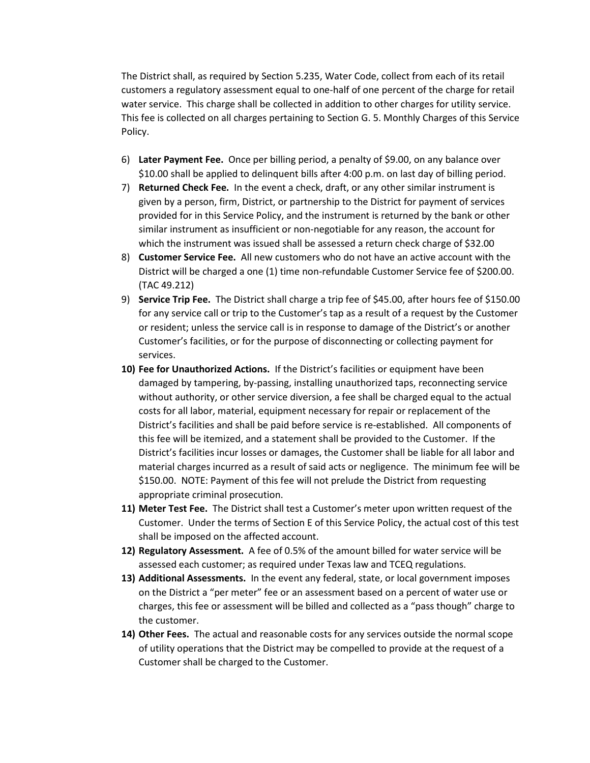The District shall, as required by Section 5.235, Water Code, collect from each of its retail customers a regulatory assessment equal to one-half of one percent of the charge for retail water service. This charge shall be collected in addition to other charges for utility service. This fee is collected on all charges pertaining to Section G. 5. Monthly Charges of this Service Policy.

- 6) **Later Payment Fee.** Once per billing period, a penalty of \$9.00, on any balance over \$10.00 shall be applied to delinquent bills after 4:00 p.m. on last day of billing period.
- 7) **Returned Check Fee.** In the event a check, draft, or any other similar instrument is given by a person, firm, District, or partnership to the District for payment of services provided for in this Service Policy, and the instrument is returned by the bank or other similar instrument as insufficient or non-negotiable for any reason, the account for which the instrument was issued shall be assessed a return check charge of \$32.00
- 8) **Customer Service Fee.** All new customers who do not have an active account with the District will be charged a one (1) time non-refundable Customer Service fee of \$200.00. (TAC 49.212)
- 9) **Service Trip Fee.** The District shall charge a trip fee of \$45.00, after hours fee of \$150.00 for any service call or trip to the Customer's tap as a result of a request by the Customer or resident; unless the service call is in response to damage of the District's or another Customer's facilities, or for the purpose of disconnecting or collecting payment for services.
- **10) Fee for Unauthorized Actions.** If the District's facilities or equipment have been damaged by tampering, by-passing, installing unauthorized taps, reconnecting service without authority, or other service diversion, a fee shall be charged equal to the actual costs for all labor, material, equipment necessary for repair or replacement of the District's facilities and shall be paid before service is re-established. All components of this fee will be itemized, and a statement shall be provided to the Customer. If the District's facilities incur losses or damages, the Customer shall be liable for all labor and material charges incurred as a result of said acts or negligence. The minimum fee will be \$150.00. NOTE: Payment of this fee will not prelude the District from requesting appropriate criminal prosecution.
- **11) Meter Test Fee.** The District shall test a Customer's meter upon written request of the Customer. Under the terms of Section E of this Service Policy, the actual cost of this test shall be imposed on the affected account.
- **12) Regulatory Assessment.** A fee of 0.5% of the amount billed for water service will be assessed each customer; as required under Texas law and TCEQ regulations.
- **13) Additional Assessments.** In the event any federal, state, or local government imposes on the District a "per meter" fee or an assessment based on a percent of water use or charges, this fee or assessment will be billed and collected as a "pass though" charge to the customer.
- **14) Other Fees.** The actual and reasonable costs for any services outside the normal scope of utility operations that the District may be compelled to provide at the request of a Customer shall be charged to the Customer.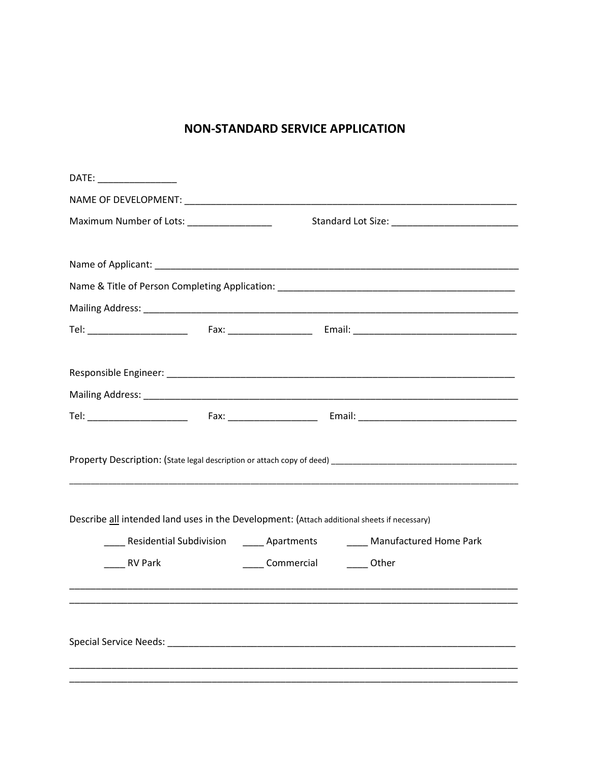## **NON-STANDARD SERVICE APPLICATION**

| DATE: ___________________                                                                   |                                |                                                                                |
|---------------------------------------------------------------------------------------------|--------------------------------|--------------------------------------------------------------------------------|
|                                                                                             |                                |                                                                                |
| Maximum Number of Lots: __________________                                                  |                                |                                                                                |
|                                                                                             |                                |                                                                                |
|                                                                                             |                                |                                                                                |
|                                                                                             |                                |                                                                                |
|                                                                                             |                                |                                                                                |
|                                                                                             |                                |                                                                                |
|                                                                                             |                                |                                                                                |
|                                                                                             |                                |                                                                                |
|                                                                                             |                                |                                                                                |
|                                                                                             |                                |                                                                                |
|                                                                                             |                                |                                                                                |
|                                                                                             |                                |                                                                                |
|                                                                                             |                                |                                                                                |
|                                                                                             |                                |                                                                                |
| Describe all intended land uses in the Development: (Attach additional sheets if necessary) |                                |                                                                                |
|                                                                                             |                                | _____ Residential Subdivision ______ Apartments _______ Manufactured Home Park |
| RV Park                                                                                     | _____ Commercial _______ Other |                                                                                |
|                                                                                             |                                |                                                                                |
|                                                                                             |                                |                                                                                |
|                                                                                             |                                |                                                                                |
|                                                                                             |                                |                                                                                |
|                                                                                             |                                |                                                                                |
|                                                                                             |                                |                                                                                |